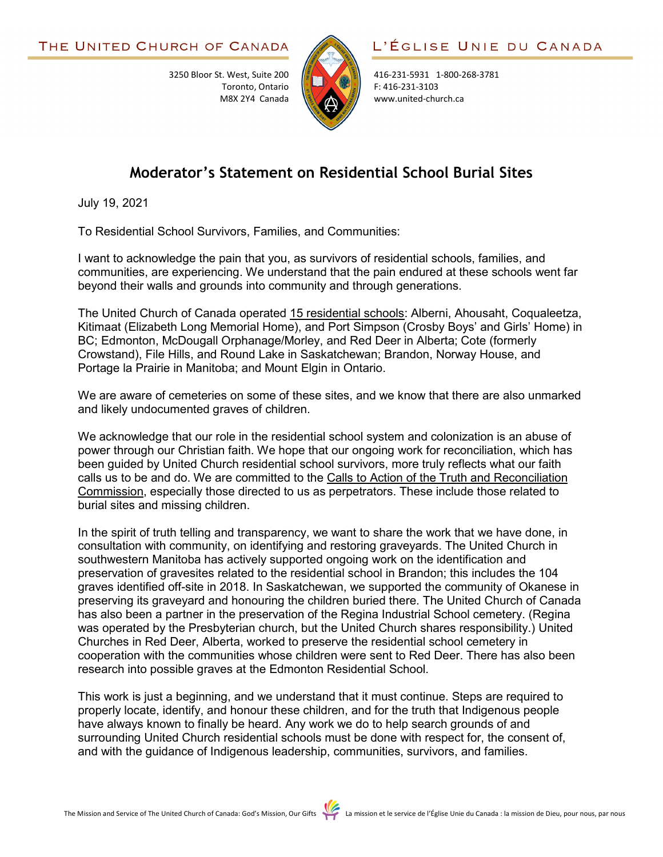

416-231-5931 1-800-268-3781 F: 416-231-3103 www.united-church.ca

## **Moderator's Statement on Residential School Burial Sites**

July 19, 2021

To Residential School Survivors, Families, and Communities:

3250 Bloor St. West, Suite 200

Toronto, Ontario M8X 2Y4 Canada

I want to acknowledge the pain that you, as survivors of residential schools, families, and communities, are experiencing. We understand that the pain endured at these schools went far beyond their walls and grounds into community and through generations.

The United Church of Canada operated [15 residential schools:](https://thechildrenremembered.ca/) Alberni, Ahousaht, Coqualeetza, Kitimaat (Elizabeth Long Memorial Home), and Port Simpson (Crosby Boys' and Girls' Home) in BC; Edmonton, McDougall Orphanage/Morley, and Red Deer in Alberta; Cote (formerly Crowstand), File Hills, and Round Lake in Saskatchewan; Brandon, Norway House, and Portage la Prairie in Manitoba; and Mount Elgin in Ontario.

We are aware of cemeteries on some of these sites, and we know that there are also unmarked and likely undocumented graves of children.

We acknowledge that our role in the residential school system and colonization is an abuse of power through our Christian faith. We hope that our ongoing work for reconciliation, which has been guided by United Church residential school survivors, more truly reflects what our faith calls us to be and do. We are committed to the [Calls to Action of the Truth and Reconciliation](https://united-church.ca/social-action/justice-initiatives/reconciliation-and-indigenous-justice/truth-and-reconciliation)  [Commission,](https://united-church.ca/social-action/justice-initiatives/reconciliation-and-indigenous-justice/truth-and-reconciliation) especially those directed to us as perpetrators. These include those related to burial sites and missing children.

In the spirit of truth telling and transparency, we want to share the work that we have done, in consultation with community, on identifying and restoring graveyards. The United Church in southwestern Manitoba has actively supported ongoing work on the identification and preservation of gravesites related to the residential school in Brandon; this includes the 104 graves identified off-site in 2018. In Saskatchewan, we supported the community of Okanese in preserving its graveyard and honouring the children buried there. The United Church of Canada has also been a partner in the preservation of the Regina Industrial School cemetery. (Regina was operated by the Presbyterian church, but the United Church shares responsibility.) United Churches in Red Deer, Alberta, worked to preserve the residential school cemetery in cooperation with the communities whose children were sent to Red Deer. There has also been research into possible graves at the Edmonton Residential School.

This work is just a beginning, and we understand that it must continue. Steps are required to properly locate, identify, and honour these children, and for the truth that Indigenous people have always known to finally be heard. Any work we do to help search grounds of and surrounding United Church residential schools must be done with respect for, the consent of, and with the guidance of Indigenous leadership, communities, survivors, and families.